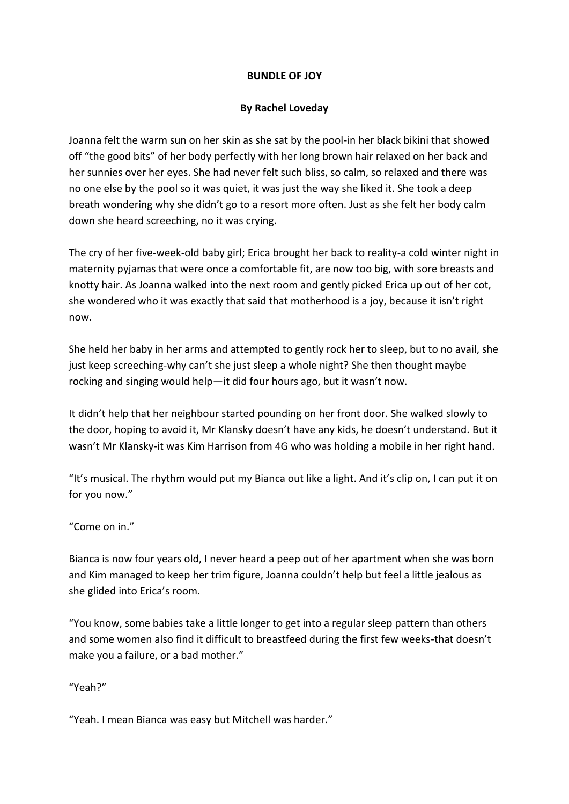## **BUNDLE OF JOY**

## **By Rachel Loveday**

Joanna felt the warm sun on her skin as she sat by the pool-in her black bikini that showed off "the good bits" of her body perfectly with her long brown hair relaxed on her back and her sunnies over her eyes. She had never felt such bliss, so calm, so relaxed and there was no one else by the pool so it was quiet, it was just the way she liked it. She took a deep breath wondering why she didn't go to a resort more often. Just as she felt her body calm down she heard screeching, no it was crying.

The cry of her five-week-old baby girl; Erica brought her back to reality-a cold winter night in maternity pyjamas that were once a comfortable fit, are now too big, with sore breasts and knotty hair. As Joanna walked into the next room and gently picked Erica up out of her cot, she wondered who it was exactly that said that motherhood is a joy, because it isn't right now.

She held her baby in her arms and attempted to gently rock her to sleep, but to no avail, she just keep screeching-why can't she just sleep a whole night? She then thought maybe rocking and singing would help—it did four hours ago, but it wasn't now.

It didn't help that her neighbour started pounding on her front door. She walked slowly to the door, hoping to avoid it, Mr Klansky doesn't have any kids, he doesn't understand. But it wasn't Mr Klansky-it was Kim Harrison from 4G who was holding a mobile in her right hand.

"It's musical. The rhythm would put my Bianca out like a light. And it's clip on, I can put it on for you now."

"Come on in."

Bianca is now four years old, I never heard a peep out of her apartment when she was born and Kim managed to keep her trim figure, Joanna couldn't help but feel a little jealous as she glided into Erica's room.

"You know, some babies take a little longer to get into a regular sleep pattern than others and some women also find it difficult to breastfeed during the first few weeks-that doesn't make you a failure, or a bad mother."

"Yeah?"

"Yeah. I mean Bianca was easy but Mitchell was harder."